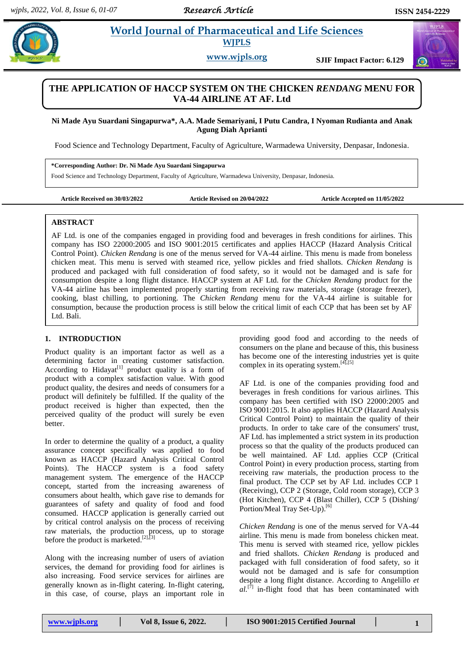# **Parademicial Sciences in al. 2018 Morld Journal of Pharmaceutical and Life Sciences WJPLS**

**www.wjpls.org SJIF Impact Factor: 6.129**

# **THE APPLICATION OF HACCP SYSTEM ON THE CHICKEN** *RENDANG* **MENU FOR VA-44 AIRLINE AT AF. Ltd**

**Ni Made Ayu Suardani Singapurwa\*, A.A. Made Semariyani, I Putu Candra, I Nyoman Rudianta and Anak Agung Diah Aprianti**

Food Science and Technology Department, Faculty of Agriculture, Warmadewa University, Denpasar, Indonesia.

**\*Corresponding Author: Dr. Ni Made Ayu Suardani Singapurwa** Food Science and Technology Department, Faculty of Agriculture, Warmadewa University, Denpasar, Indonesia.

**Article Received on 30/03/2022 Article Revised on 20/04/2022 Article Accepted on 11/05/2022**

# **ABSTRACT**

AF Ltd. is one of the companies engaged in providing food and beverages in fresh conditions for airlines. This company has ISO 22000:2005 and ISO 9001:2015 certificates and applies HACCP (Hazard Analysis Critical Control Point). *Chicken Rendang* is one of the menus served for VA-44 airline. This menu is made from boneless chicken meat. This menu is served with steamed rice, yellow pickles and fried shallots. *Chicken Rendang* is produced and packaged with full consideration of food safety, so it would not be damaged and is safe for consumption despite a long flight distance. HACCP system at AF Ltd. for the *Chicken Rendang* product for the VA-44 airline has been implemented properly starting from receiving raw materials, storage (storage freezer), cooking, blast chilling, to portioning. The *Chicken Rendang* menu for the VA-44 airline is suitable for consumption, because the production process is still below the critical limit of each CCP that has been set by AF Ltd. Bali.

# **1. INTRODUCTION**

Product quality is an important factor as well as a determining factor in creating customer satisfaction. According to Hidayat<sup>[1]</sup> product quality is a form of product with a complex satisfaction value. With good product quality, the desires and needs of consumers for a product will definitely be fulfilled. If the quality of the product received is higher than expected, then the perceived quality of the product will surely be even better.

In order to determine the quality of a product, a quality assurance concept specifically was applied to food known as HACCP (Hazard Analysis Critical Control Points). The HACCP system is a food safety management system. The emergence of the HACCP concept, started from the increasing awareness of consumers about health, which gave rise to demands for guarantees of safety and quality of food and food consumed. HACCP application is generally carried out by critical control analysis on the process of receiving raw materials, the production process, up to storage before the product is marketed.<sup>[2],[3]</sup>

Along with the increasing number of users of aviation services, the demand for providing food for airlines is also increasing. Food service services for airlines are generally known as in-flight catering. In-flight catering, in this case, of course, plays an important role in providing good food and according to the needs of consumers on the plane and because of this, this business has become one of the interesting industries yet is quite complex in its operating system. $[4]$ ,  $[5]$ 

AF Ltd. is one of the companies providing food and beverages in fresh conditions for various airlines. This company has been certified with ISO 22000:2005 and ISO 9001:2015. It also applies HACCP (Hazard Analysis Critical Control Point) to maintain the quality of their products. In order to take care of the consumers' trust, AF Ltd. has implemented a strict system in its production process so that the quality of the products produced can be well maintained. AF Ltd. applies CCP (Critical Control Point) in every production process, starting from receiving raw materials, the production process to the final product. The CCP set by AF Ltd. includes CCP 1 (Receiving), CCP 2 (Storage, Cold room storage), CCP 3 (Hot Kitchen), CCP 4 (Blast Chiller), CCP 5 (Dishing/ Portion/Meal Tray Set-Up).<sup>[6]</sup>

*Chicken Rendang* is one of the menus served for VA-44 airline. This menu is made from boneless chicken meat. This menu is served with steamed rice, yellow pickles and fried shallots. *Chicken Rendang* is produced and packaged with full consideration of food safety, so it would not be damaged and is safe for consumption despite a long flight distance. According to Angelillo *et*   $al^{[7]}$  in-flight food that has been contaminated with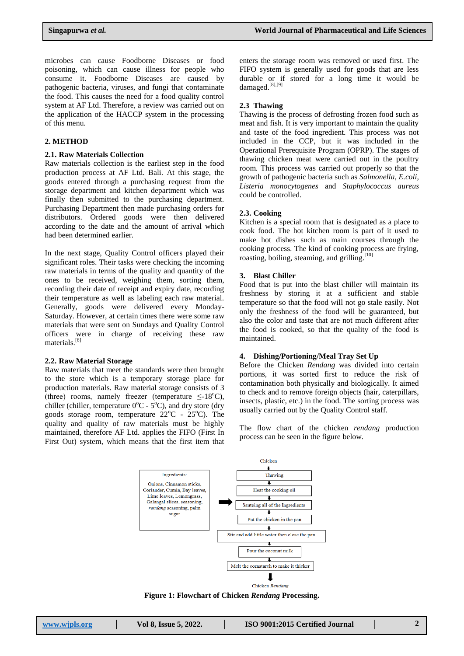microbes can cause Foodborne Diseases or food poisoning, which can cause illness for people who consume it. Foodborne Diseases are caused by pathogenic bacteria, viruses, and fungi that contaminate the food. This causes the need for a food quality control system at AF Ltd. Therefore, a review was carried out on the application of the HACCP system in the processing of this menu.

# **2. METHOD**

#### **2.1. Raw Materials Collection**

Raw materials collection is the earliest step in the food production process at AF Ltd. Bali. At this stage, the goods entered through a purchasing request from the storage department and kitchen department which was finally then submitted to the purchasing department. Purchasing Department then made purchasing orders for distributors. Ordered goods were then delivered according to the date and the amount of arrival which had been determined earlier.

In the next stage, Quality Control officers played their significant roles. Their tasks were checking the incoming raw materials in terms of the quality and quantity of the ones to be received, weighing them, sorting them, recording their date of receipt and expiry date, recording their temperature as well as labeling each raw material. Generally, goods were delivered every Monday-Saturday. However, at certain times there were some raw materials that were sent on Sundays and Quality Control officers were in charge of receiving these raw materials.<sup>[6]</sup>

#### **2.2. Raw Material Storage**

Raw materials that meet the standards were then brought to the store which is a temporary storage place for production materials. Raw material storage consists of 3 (three) rooms, namely freezer (temperature  $\leq$ -18<sup>o</sup>C), chiller (chiller, temperature  $0^{\circ}$ C - 5<sup>°</sup>C), and dry store (dry goods storage room, temperature  $22^{\circ}$ C -  $25^{\circ}$ C). The quality and quality of raw materials must be highly maintained, therefore AF Ltd. applies the FIFO (First In First Out) system, which means that the first item that

enters the storage room was removed or used first. The FIFO system is generally used for goods that are less durable or if stored for a long time it would be damaged.<sup>[8],[9]</sup>

#### **2.3 Thawing**

Thawing is the process of defrosting frozen food such as meat and fish. It is very important to maintain the quality and taste of the food ingredient. This process was not included in the CCP, but it was included in the Operational Prerequisite Program (OPRP). The stages of thawing chicken meat were carried out in the poultry room. This process was carried out properly so that the growth of pathogenic bacteria such as *Salmonella, E.coli, Listeria monocytogenes* and *Staphylococcus aureus* could be controlled.

#### **2.3. Cooking**

Kitchen is a special room that is designated as a place to cook food. The hot kitchen room is part of it used to make hot dishes such as main courses through the cooking process. The kind of cooking process are frying, roasting, boiling, steaming, and grilling.<sup>[10]</sup>

#### **3. Blast Chiller**

Food that is put into the blast chiller will maintain its freshness by storing it at a sufficient and stable temperature so that the food will not go stale easily. Not only the freshness of the food will be guaranteed, but also the color and taste that are not much different after the food is cooked, so that the quality of the food is maintained.

#### **4. Dishing/Portioning/Meal Tray Set Up**

Before the Chicken *Rendang* was divided into certain portions, it was sorted first to reduce the risk of contamination both physically and biologically. It aimed to check and to remove foreign objects (hair, caterpillars, insects, plastic, etc.) in the food. The sorting process was usually carried out by the Quality Control staff.

The flow chart of the chicken *rendang* production process can be seen in the figure below.



**Figure 1: Flowchart of Chicken** *Rendang* **Processing.**

| www.wipls.org | Vol 8, Issue 5, 2022. | ISO 9001:2015 Certified Journal |  |
|---------------|-----------------------|---------------------------------|--|
|---------------|-----------------------|---------------------------------|--|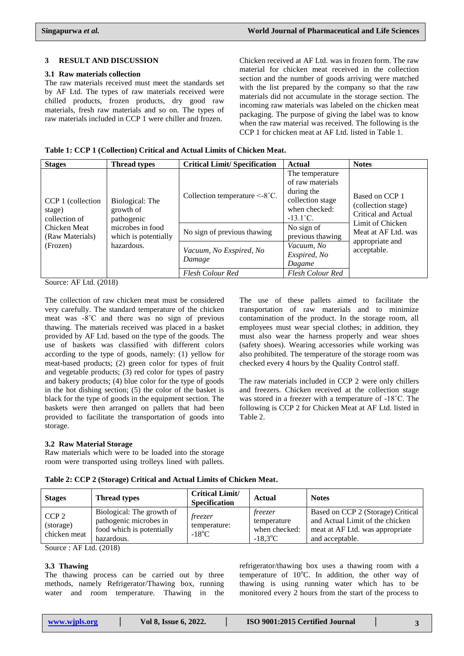### **3 RESULT AND DISCUSSION**

#### **3.1 Raw materials collection**

The raw materials received must meet the standards set by AF Ltd. The types of raw materials received were chilled products, frozen products, dry good raw materials, fresh raw materials and so on. The types of raw materials included in CCP 1 were chiller and frozen.

Chicken received at AF Ltd. was in frozen form. The raw material for chicken meat received in the collection section and the number of goods arriving were matched with the list prepared by the company so that the raw materials did not accumulate in the storage section. The incoming raw materials was labeled on the chicken meat packaging. The purpose of giving the label was to know when the raw material was received. The following is the CCP 1 for chicken meat at AF Ltd. listed in Table 1.

**Table 1: CCP 1 (Collection) Critical and Actual Limits of Chicken Meat.**

| <b>Stages</b>                                | <b>Thread types</b>                                    | <b>Critical Limit/Specification</b>                          | Actual                                                                                                       | <b>Notes</b>                                                |
|----------------------------------------------|--------------------------------------------------------|--------------------------------------------------------------|--------------------------------------------------------------------------------------------------------------|-------------------------------------------------------------|
| CCP 1 (collection<br>stage)<br>collection of | Biological: The<br>growth of<br>pathogenic             | Collection temperature $\leq$ -8°C.                          | The temperature<br>of raw materials<br>during the<br>collection stage<br>when checked:<br>$-13.1^{\circ}$ C. | Based on CCP 1<br>(collection stage)<br>Critical and Actual |
| Chicken Meat<br>(Raw Materials)<br>(Frozen)  | microbes in food<br>which is potentially<br>hazardous. | No sign of previous thawing                                  | No sign of<br>previous thawing<br>Vacuum, No                                                                 | Limit of Chicken<br>Meat at AF Ltd. was<br>appropriate and  |
|                                              |                                                        | Vacuum, No Exspired, No<br>Damage<br><b>Flesh Colour Red</b> | Exspired, No<br>Dagame<br>Flesh Colour Red                                                                   | acceptable.                                                 |

Source: AF Ltd. (2018)

The collection of raw chicken meat must be considered very carefully. The standard temperature of the chicken meat was -8˚C and there was no sign of previous thawing. The materials received was placed in a basket provided by AF Ltd. based on the type of the goods. The use of baskets was classified with different colors according to the type of goods, namely: (1) yellow for meat-based products; (2) green color for types of fruit and vegetable products; (3) red color for types of pastry and bakery products; (4) blue color for the type of goods in the hot dishing section; (5) the color of the basket is black for the type of goods in the equipment section. The baskets were then arranged on pallets that had been provided to facilitate the transportation of goods into storage.

# **3.2 Raw Material Storage**

Raw materials which were to be loaded into the storage room were transported using trolleys lined with pallets.

transportation of raw materials and to minimize contamination of the product. In the storage room, all employees must wear special clothes; in addition, they must also wear the harness properly and wear shoes (safety shoes). Wearing accessories while working was also prohibited. The temperature of the storage room was checked every 4 hours by the Quality Control staff.

The use of these pallets aimed to facilitate the

The raw materials included in CCP 2 were only chillers and freezers. Chicken received at the collection stage was stored in a freezer with a temperature of -18˚C. The following is CCP 2 for Chicken Meat at AF Ltd. listed in Table 2.

**Table 2: CCP 2 (Storage) Critical and Actual Limits of Chicken Meat.**

| <b>Stages</b>                                 | <b>Thread types</b>                                                                            | <b>Critical Limit/</b><br><b>Specification</b>    | Actual                                                                   | <b>Notes</b>                                                                                                               |
|-----------------------------------------------|------------------------------------------------------------------------------------------------|---------------------------------------------------|--------------------------------------------------------------------------|----------------------------------------------------------------------------------------------------------------------------|
| CCP <sub>2</sub><br>(storage)<br>chicken meat | Biological: The growth of<br>pathogenic microbes in<br>food which is potentially<br>hazardous. | <i>freezer</i><br>temperature:<br>$-18^{\circ}$ C | <i>freezer</i><br>temperature<br>when checked:<br>$-18.3$ <sup>o</sup> C | Based on CCP 2 (Storage) Critical<br>and Actual Limit of the chicken<br>meat at AF Ltd. was appropriate<br>and acceptable. |

Source : AF Ltd. (2018)

# **3.3 Thawing**

The thawing process can be carried out by three methods, namely Refrigerator/Thawing box, running water and room temperature. Thawing in the refrigerator/thawing box uses a thawing room with a temperature of  $10^{\circ}$ C. In addition, the other way of thawing is using running water which has to be monitored every 2 hours from the start of the process to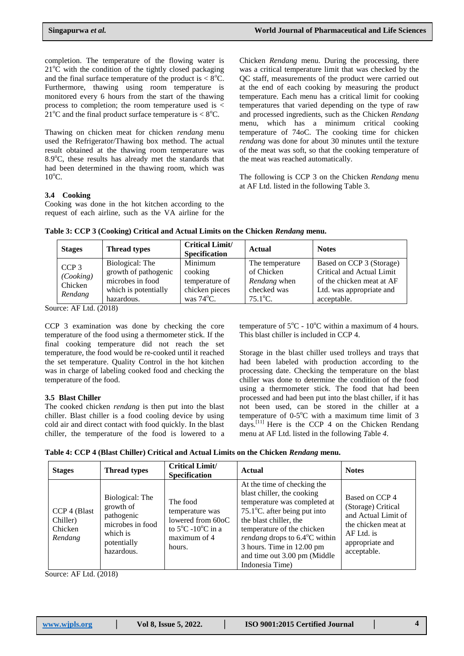completion. The temperature of the flowing water is  $21^{\circ}$ C with the condition of the tightly closed packaging and the final surface temperature of the product is  $< 8^{\circ}$ C. Furthermore, thawing using room temperature is monitored every 6 hours from the start of the thawing process to completion; the room temperature used is  $\lt$ 21<sup>o</sup>C and the final product surface temperature is  $< 8^{\circ}$ C.

Thawing on chicken meat for chicken *rendang* menu used the Refrigerator/Thawing box method. The actual result obtained at the thawing room temperature was  $8.9^{\circ}$ C, these results has already met the standards that had been determined in the thawing room, which was  $10^{\circ}$ C.

Chicken *Rendang* menu. During the processing, there was a critical temperature limit that was checked by the QC staff, measurements of the product were carried out at the end of each cooking by measuring the product temperature. Each menu has a critical limit for cooking temperatures that varied depending on the type of raw and processed ingredients, such as the Chicken *Rendang* menu, which has a minimum critical cooking temperature of 74oC. The cooking time for chicken *rendang* was done for about 30 minutes until the texture of the meat was soft, so that the cooking temperature of the meat was reached automatically.

The following is CCP 3 on the Chicken *Rendang* menu at AF Ltd. listed in the following Table 3.

# **3.4 Cooking**

Cooking was done in the hot kitchen according to the request of each airline, such as the VA airline for the

| <b>Stages</b>    | <b>Thread types</b>  | <b>Critical Limit/</b><br><b>Specification</b> | <b>Actual</b>     | <b>Notes</b>              |
|------------------|----------------------|------------------------------------------------|-------------------|---------------------------|
| CCP <sub>3</sub> | Biological: The      | Minimum                                        | The temperature   | Based on CCP 3 (Storage)  |
| (Cooking)        | growth of pathogenic | cooking                                        | of Chicken        | Critical and Actual Limit |
| Chicken          | microbes in food     | temperature of                                 | Rendang when      | of the chicken meat at AF |
|                  | which is potentially | chicken pieces                                 | checked was       | Ltd. was appropriate and  |
| Rendang          | hazardous.           | was $74^{\circ}$ C.                            | $75.1^{\circ}$ C. | acceptable.               |

**Table 3: CCP 3 (Cooking) Critical and Actual Limits on the Chicken** *Rendang* **menu.**

Source: AF Ltd. (2018)

CCP 3 examination was done by checking the core temperature of the food using a thermometer stick. If the final cooking temperature did not reach the set temperature, the food would be re-cooked until it reached the set temperature. Quality Control in the hot kitchen was in charge of labeling cooked food and checking the temperature of the food.

#### **3.5 Blast Chiller**

The cooked chicken *rendang* is then put into the blast chiller. Blast chiller is a food cooling device by using cold air and direct contact with food quickly. In the blast chiller, the temperature of the food is lowered to a temperature of  $5^{\circ}$ C - 10<sup>o</sup>C within a maximum of 4 hours. This blast chiller is included in CCP 4.

Storage in the blast chiller used trolleys and trays that had been labeled with production according to the processing date. Checking the temperature on the blast chiller was done to determine the condition of the food using a thermometer stick. The food that had been processed and had been put into the blast chiller, if it has not been used, can be stored in the chiller at a temperature of  $0-5^{\circ}$ C with a maximum time limit of 3 days.<sup>[11]</sup> Here is the CCP 4 on the Chicken Rendang menu at AF Ltd. listed in the following *T*able *4*.

**Table 4: CCP 4 (Blast Chiller) Critical and Actual Limits on the Chicken** *Rendang* **menu.**

| <b>Stages</b>                                  | <b>Thread types</b>                                                                                     | <b>Critical Limit/</b><br><b>Specification</b>                                                                       | Actual                                                                                                                                                                                                                                                                                                                        | <b>Notes</b>                                                                                                                       |
|------------------------------------------------|---------------------------------------------------------------------------------------------------------|----------------------------------------------------------------------------------------------------------------------|-------------------------------------------------------------------------------------------------------------------------------------------------------------------------------------------------------------------------------------------------------------------------------------------------------------------------------|------------------------------------------------------------------------------------------------------------------------------------|
| CCP 4 (Blast<br>Chiller)<br>Chicken<br>Rendang | Biological: The<br>growth of<br>pathogenic<br>microbes in food<br>which is<br>potentially<br>hazardous. | The food<br>temperature was<br>lowered from 60oC<br>to $5^{\circ}$ C -10 $^{\circ}$ C in a<br>maximum of 4<br>hours. | At the time of checking the<br>blast chiller, the cooking<br>temperature was completed at<br>$75.1^{\circ}$ C. after being put into<br>the blast chiller, the<br>temperature of the chicken<br><i>rendang</i> drops to $6.4^{\circ}$ C within<br>3 hours. Time in 12.00 pm<br>and time out 3.00 pm (Middle<br>Indonesia Time) | Based on CCP 4<br>(Storage) Critical<br>and Actual Limit of<br>the chicken meat at<br>AF Ltd. is<br>appropriate and<br>acceptable. |

Source: AF Ltd. (2018)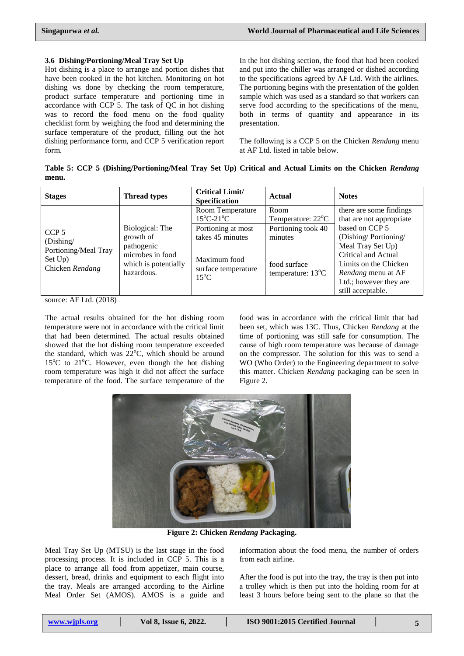# **3.6 Dishing/Portioning/Meal Tray Set Up**

Hot dishing is a place to arrange and portion dishes that have been cooked in the hot kitchen. Monitoring on hot dishing ws done by checking the room temperature, product surface temperature and portioning time in accordance with CCP 5. The task of QC in hot dishing was to record the food menu on the food quality checklist form by weighing the food and determining the surface temperature of the product, filling out the hot dishing performance form, and CCP 5 verification report form.

In the hot dishing section, the food that had been cooked and put into the chiller was arranged or dished according to the specifications agreed by AF Ltd. With the airlines. The portioning begins with the presentation of the golden sample which was used as a standard so that workers can serve food according to the specifications of the menu, both in terms of quantity and appearance in its presentation.

The following is a CCP 5 on the Chicken *Rendang* menu at AF Ltd. listed in table below.

**Table 5: CCP 5 (Dishing/Portioning/Meal Tray Set Up) Critical and Actual Limits on the Chicken** *Rendang* **menu.**

| <b>Stages</b>                                      | <b>Thread types</b>                                                  | <b>Critical Limit/</b><br><b>Specification</b>        | <b>Actual</b>                               | <b>Notes</b>                                                                                                                                  |
|----------------------------------------------------|----------------------------------------------------------------------|-------------------------------------------------------|---------------------------------------------|-----------------------------------------------------------------------------------------------------------------------------------------------|
|                                                    |                                                                      | Room Temperature<br>$15^{\circ}$ C-21 $^{\circ}$ C    | Room<br>Temperature: 22 <sup>o</sup> C      | there are some findings<br>that are not appropriate                                                                                           |
| CCP <sub>5</sub><br>(Dishing/                      | Biological: The<br>growth of                                         | Portioning at most<br>takes 45 minutes                | Portioning took 40<br>minutes               | based on CCP 5<br>(Dishing/Portioning/                                                                                                        |
| Portioning/Meal Tray<br>Set Up)<br>Chicken Rendang | pathogenic<br>microbes in food<br>which is potentially<br>hazardous. | Maximum food<br>surface temperature<br>$15^{\circ}$ C | food surface<br>temperature: $13^{\circ}$ C | Meal Tray Set Up)<br>Critical and Actual<br>Limits on the Chicken<br><i>Rendang</i> menu at AF<br>Ltd.; however they are<br>still acceptable. |

source: AF Ltd. (2018)

The actual results obtained for the hot dishing room temperature were not in accordance with the critical limit that had been determined. The actual results obtained showed that the hot dishing room temperature exceeded the standard, which was  $22^{\circ}$ C, which should be around  $15^{\circ}$ C to  $21^{\circ}$ C. However, even though the hot dishing room temperature was high it did not affect the surface temperature of the food. The surface temperature of the

food was in accordance with the critical limit that had been set, which was 13C. Thus, Chicken *Rendang* at the time of portioning was still safe for consumption. The cause of high room temperature was because of damage on the compressor. The solution for this was to send a WO (Who Order) to the Engineering department to solve this matter. Chicken *Rendang* packaging can be seen in Figure 2.



**Figure 2: Chicken** *Rendang* **Packaging.**

Meal Tray Set Up (MTSU) is the last stage in the food processing process. It is included in CCP 5. This is a place to arrange all food from appetizer, main course, dessert, bread, drinks and equipment to each flight into the tray. Meals are arranged according to the Airline Meal Order Set (AMOS). AMOS is a guide and

information about the food menu, the number of orders from each airline.

After the food is put into the tray, the tray is then put into a trolley which is then put into the holding room for at least 3 hours before being sent to the plane so that the

| www.wjpls.org |  |
|---------------|--|
|               |  |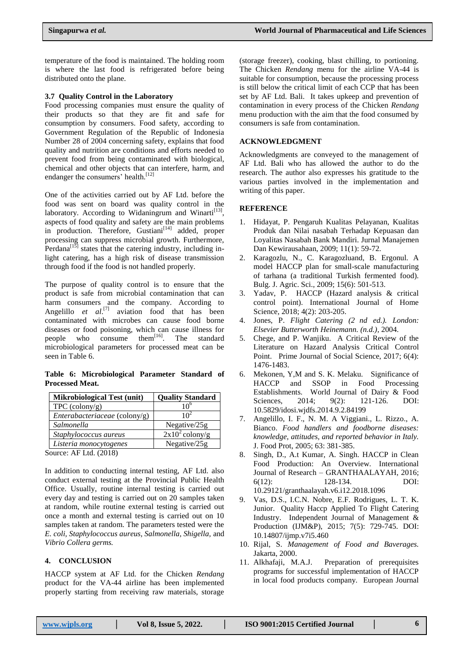temperature of the food is maintained. The holding room is where the last food is refrigerated before being distributed onto the plane.

#### **3.7 Quality Control in the Laboratory**

Food processing companies must ensure the quality of their products so that they are fit and safe for consumption by consumers. Food safety, according to Government Regulation of the Republic of Indonesia Number 28 of 2004 concerning safety, explains that food quality and nutrition are conditions and efforts needed to prevent food from being contaminated with biological, chemical and other objects that can interfere, harm, and endanger the consumers' health.<sup>[12]</sup>

One of the activities carried out by AF Ltd. before the food was sent on board was quality control in the laboratory. According to Widaningrum and Winarti<sup>[13]</sup>, aspects of food quality and safety are the main problems in production. Therefore, Gustiani $[14]$  added, proper processing can suppress microbial growth. Furthermore, Perdana $\lim_{t \to \infty}$  states that the catering industry, including inlight catering, has a high risk of disease transmission through food if the food is not handled properly.

The purpose of quality control is to ensure that the product is safe from microbial contamination that can harm consumers and the company. According to Angelillo  $et \ al.<sup>[7]</sup>$  aviation food that has been contaminated with microbes can cause food borne diseases or food poisoning, which can cause illness for people who consume them<sup>[16]</sup>. The standard microbiological parameters for processed meat can be seen in Table 6.

**Table 6: Microbiological Parameter Standard of Processed Meat.**

| <b>Mikrobiological Test (unit)</b> | <b>Quality Standard</b>          |
|------------------------------------|----------------------------------|
| $TPC$ (colony/g)                   | 10°                              |
| Enterabacteriaceae (colony/g)      | 10 <sup>2</sup>                  |
| Salmonella                         | Negative/25g                     |
| Staphylococcus aureus              | $\sqrt{2x10^2 \text{ colony/g}}$ |
| Listeria monocytogenes             | Negative/25g                     |

Source: AF Ltd. (2018)

In addition to conducting internal testing, AF Ltd. also conduct external testing at the Provincial Public Health Office. Usually, routine internal testing is carried out every day and testing is carried out on 20 samples taken at random, while routine external testing is carried out once a month and external testing is carried out on 10 samples taken at random. The parameters tested were the *E. coli, Staphylococcus aureus, Salmonella, Shigella,* and *Vibrio Collera germs.*

# **4. CONCLUSION**

HACCP system at AF Ltd. for the Chicken *Rendang* product for the VA-44 airline has been implemented properly starting from receiving raw materials, storage

(storage freezer), cooking, blast chilling, to portioning. The Chicken *Rendang* menu for the airline VA-44 is suitable for consumption, because the processing process is still below the critical limit of each CCP that has been set by AF Ltd. Bali. It takes upkeep and prevention of contamination in every process of the Chicken *Rendang* menu production with the aim that the food consumed by consumers is safe from contamination.

#### **ACKNOWLEDGMENT**

Acknowledgments are conveyed to the management of AF Ltd. Bali who has allowed the author to do the research. The author also expresses his gratitude to the various parties involved in the implementation and writing of this paper.

# **REFERENCE**

- 1. Hidayat, P. Pengaruh Kualitas Pelayanan, Kualitas Produk dan Nilai nasabah Terhadap Kepuasan dan Loyalitas Nasabah Bank Mandiri. Jurnal Manajemen Dan Kewirausahaan, 2009; 11(1): 59-72.
- 2. Karagozlu, N., C. Karagozluand, B. Ergonul. A model HACCP plan for small-scale manufacturing of tarhana (a traditional Turkish fermented food). Bulg. J. Agric. Sci., 2009; 15(6): 501-513.
- 3. Yadav, P. HACCP (Hazard analysis & critical control point). International Journal of Home Science, 2018; 4(2): 203-205.
- 4. Jones, P. *Flight Catering (2 nd ed.). London: Elsevier Butterworth Heinemann. (n.d.),* 2004.
- 5. Chege, and P. Wanjiku. A Critical Review of the Literature on Hazard Analysis Critical Control Point. Prime Journal of Social Science, 2017; 6(4): 1476-1483.
- 6. Mekonen, Y,M and S. K. Melaku. Significance of HACCP and SSOP in Food Processing Establishments. World Journal of Dairy & Food Sciences, 2014; 9(2): 121-126. DOI: 10.5829/idosi.wjdfs.2014.9.2.84199
- 7. Angelillo, I. F., N. M. A Viggiani., L. Rizzo., A. Bianco. *Food handlers and foodborne diseases: knowledge, attitudes, and reported behavior in Italy.*  J. Food Prot, 2005; 63: 381-385.
- 8. Singh, D., A.t Kumar, A. Singh. HACCP in Clean Food Production: An Overview. International Journal of Research – GRANTHAALAYAH, 2016; 6(12): 128-134. DOI: 10.29121/granthaalayah.v6.i12.2018.1096
- 9. Vas, D.S., I.C.N. Nobre, E.F. Rodrigues, L. T. K. Junior. Quality Haccp Applied To Flight Catering Industry. Independent Journal of Management & Production (IJM&P), 2015; 7(5): 729-745. DOI: 10.14807/ijmp.v7i5.460
- 10. Rijal, S. *Management of Food and Baverages.*  Jakarta, 2000.
- 11. Alkhafaji, M.A.J. Preparation of prerequisites programs for successful implementation of HACCP in local food products company. European Journal